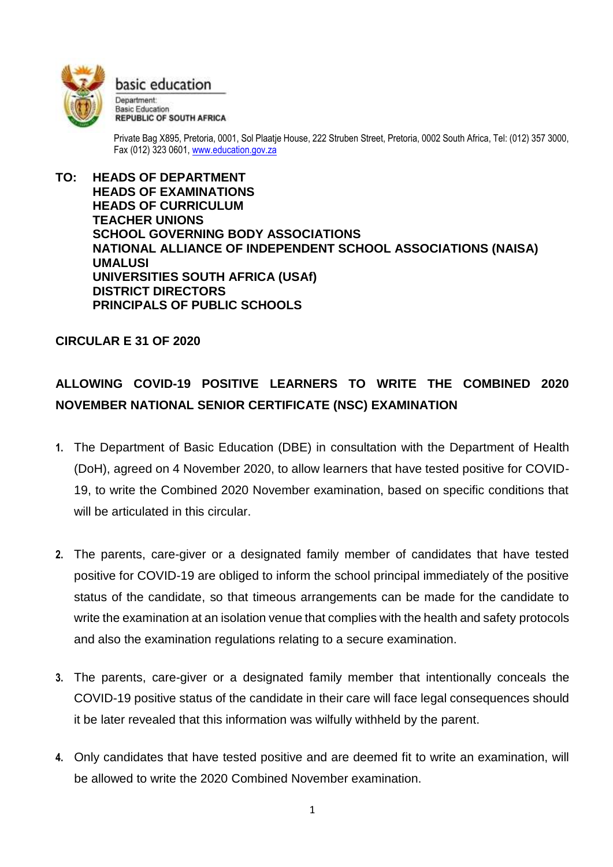

basic education

Department: **Basic Education REPUBLIC OF SOUTH AFRICA** 

Private Bag X895, Pretoria, 0001, Sol Plaatje House, 222 Struben Street, Pretoria, 0002 South Africa, Tel: (012) 357 3000, Fax (012) 323 0601, [www.education.gov.za](http://www.education.gov.za/)

**TO: HEADS OF DEPARTMENT HEADS OF EXAMINATIONS HEADS OF CURRICULUM TEACHER UNIONS SCHOOL GOVERNING BODY ASSOCIATIONS NATIONAL ALLIANCE OF INDEPENDENT SCHOOL ASSOCIATIONS (NAISA) UMALUSI UNIVERSITIES SOUTH AFRICA (USAf) DISTRICT DIRECTORS PRINCIPALS OF PUBLIC SCHOOLS**

## **CIRCULAR E 31 OF 2020**

## **ALLOWING COVID-19 POSITIVE LEARNERS TO WRITE THE COMBINED 2020 NOVEMBER NATIONAL SENIOR CERTIFICATE (NSC) EXAMINATION**

- **1.** The Department of Basic Education (DBE) in consultation with the Department of Health (DoH), agreed on 4 November 2020, to allow learners that have tested positive for COVID-19, to write the Combined 2020 November examination, based on specific conditions that will be articulated in this circular.
- **2.** The parents, care-giver or a designated family member of candidates that have tested positive for COVID-19 are obliged to inform the school principal immediately of the positive status of the candidate, so that timeous arrangements can be made for the candidate to write the examination at an isolation venue that complies with the health and safety protocols and also the examination regulations relating to a secure examination.
- **3.** The parents, care-giver or a designated family member that intentionally conceals the COVID-19 positive status of the candidate in their care will face legal consequences should it be later revealed that this information was wilfully withheld by the parent.
- **4.** Only candidates that have tested positive and are deemed fit to write an examination, will be allowed to write the 2020 Combined November examination.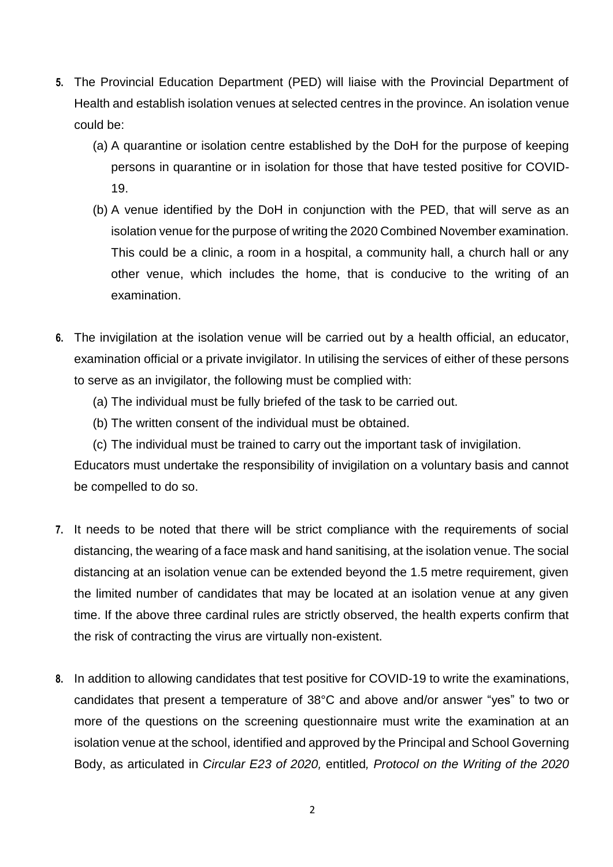- **5.** The Provincial Education Department (PED) will liaise with the Provincial Department of Health and establish isolation venues at selected centres in the province. An isolation venue could be:
	- (a) A quarantine or isolation centre established by the DoH for the purpose of keeping persons in quarantine or in isolation for those that have tested positive for COVID-19.
	- (b) A venue identified by the DoH in conjunction with the PED, that will serve as an isolation venue for the purpose of writing the 2020 Combined November examination. This could be a clinic, a room in a hospital, a community hall, a church hall or any other venue, which includes the home, that is conducive to the writing of an examination.
- **6.** The invigilation at the isolation venue will be carried out by a health official, an educator, examination official or a private invigilator. In utilising the services of either of these persons to serve as an invigilator, the following must be complied with:
	- (a) The individual must be fully briefed of the task to be carried out.
	- (b) The written consent of the individual must be obtained.
	- (c) The individual must be trained to carry out the important task of invigilation.

Educators must undertake the responsibility of invigilation on a voluntary basis and cannot be compelled to do so.

- **7.** It needs to be noted that there will be strict compliance with the requirements of social distancing, the wearing of a face mask and hand sanitising, at the isolation venue. The social distancing at an isolation venue can be extended beyond the 1.5 metre requirement, given the limited number of candidates that may be located at an isolation venue at any given time. If the above three cardinal rules are strictly observed, the health experts confirm that the risk of contracting the virus are virtually non-existent.
- **8.** In addition to allowing candidates that test positive for COVID-19 to write the examinations, candidates that present a temperature of 38°C and above and/or answer "yes" to two or more of the questions on the screening questionnaire must write the examination at an isolation venue at the school, identified and approved by the Principal and School Governing Body, as articulated in *Circular E23 of 2020,* entitled*, Protocol on the Writing of the 2020*